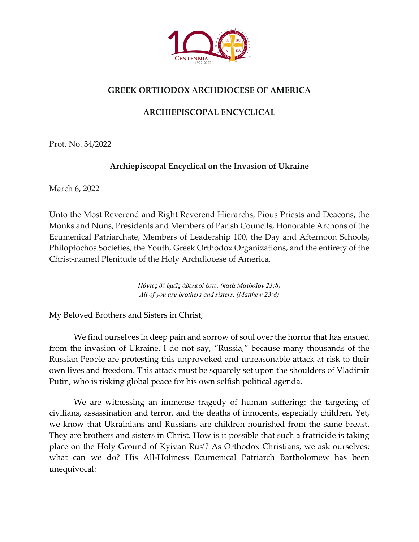

## **GREEK ORTHODOX ARCHDIOCESE OF AMERICA**

## **ARCHIEPISCOPAL ENCYCLICAL**

Prot. No. 34/2022

## **Archiepiscopal Encyclical on the Invasion of Ukraine**

March 6, 2022

Unto the Most Reverend and Right Reverend Hierarchs, Pious Priests and Deacons, the Monks and Nuns, Presidents and Members of Parish Councils, Honorable Archons of the Ecumenical Patriarchate, Members of Leadership 100, the Day and Afternoon Schools, Philoptochos Societies, the Youth, Greek Orthodox Organizations, and the entirety of the Christ-named Plenitude of the Holy Archdiocese of America.

> *Πάντες δὲ ὑμεῖς ἀδελφοί ἐστε. (κατὰ Ματθαῖον 23:8) All of you are brothers and sisters. (Matthew 23:8)*

My Beloved Brothers and Sisters in Christ,

We find ourselves in deep pain and sorrow of soul over the horror that has ensued from the invasion of Ukraine. I do not say, "Russia," because many thousands of the Russian People are protesting this unprovoked and unreasonable attack at risk to their own lives and freedom. This attack must be squarely set upon the shoulders of Vladimir Putin, who is risking global peace for his own selfish political agenda.

We are witnessing an immense tragedy of human suffering: the targeting of civilians, assassination and terror, and the deaths of innocents, especially children. Yet, we know that Ukrainians and Russians are children nourished from the same breast. They are brothers and sisters in Christ. How is it possible that such a fratricide is taking place on the Holy Ground of Kyivan Rus'? As Orthodox Christians, we ask ourselves: what can we do? His All-Holiness Ecumenical Patriarch Bartholomew has been unequivocal: